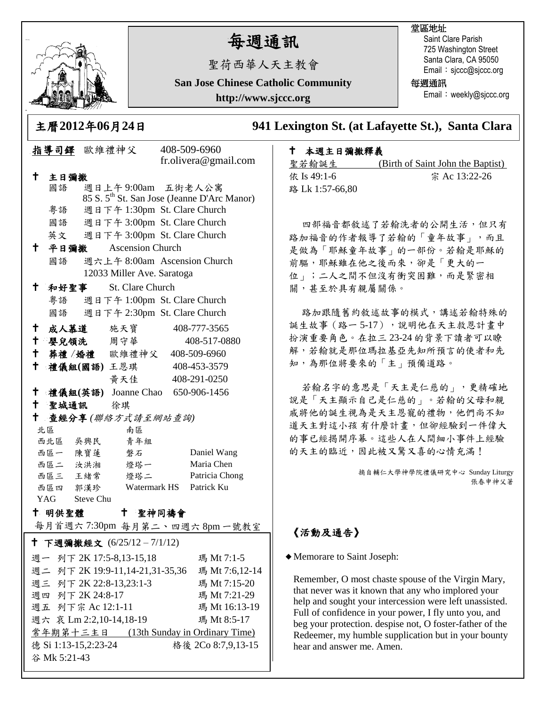

谷 Mk 5:21-43

# 每週通訊

聖荷西華人天主教會

**San Jose Chinese Catholic Community**

**http://www.sjccc.org**

#### 堂區地址

Saint Clare Parish 725 Washington Street Santa Clara, CA 95050 Email: sjccc@sjccc.org

每週通訊

Email: weekly@sjccc.org

主曆**2012**年**06**月**24**日 **941 Lexington St. (at Lafayette St.), Santa Clara** 

## 指導司鐸 歐維禮神父 408-509-6960 fr.olivera@gmail.com 主日彌撒 國語 週日上午 9:00am 五街老人公寓 85 S. 5th St. San Jose (Jeanne D'Arc Manor) 粵語 週日下午 1:30pm St. Clare Church 國語 週日下午 3:00pm St. Clare Church 英文 週日下午 3:00pm St. Clare Church 平日彌撒 Ascension Church 國語 週六上午 8:00am Ascension Church 12033 Miller Ave. Saratoga 和好聖事 St. Clare Church 粵語 週日下午 1:00pm St. Clare Church 國語 週日下午 2:30pm St. Clare Church 成人慕道 施天寶 408-777-3565 嬰兒領洗 周守華 408-517-0880 葬禮 /婚禮 歐維禮神父 408-509-6960 禮儀組**(**國語**)** 王恩琪 408-453-3579 黃天佳 408-291-0250 禮儀組**(**英語**)** Joanne Chao 650-906-1456 聖城通訊 徐琪 查經分享 *(*聯絡方式請至網站查詢*)* 北區 南區 西北區 吳興民 青年組 西區一 陳寶蓮 磐石 Daniel Wang 西區二 汝洪湘 燈塔一 Maria Chen 西區三 王緒常 燈塔二 Patricia Chong 西區四 郭漢珍 Watermark HS Patrick Ku YAG Steve Chu 十 明供聖體 每月首週六 7:30pm 每月第二、四週六 8pm 一號教室 聖神同禱會 下週彌撒經文 (6/25/12 – 7/1/12) 德 Si 1:13-15,2:23-24 格後 2Co 8:7,9,13-15 週一 列下 2K 17:5-8,13-15,18 瑪 Mt 7:1-5 週二 列下 2K 19:9-11,14-21,31-35,36 瑪 Mt 7:6,12-14 週三 列下 2K 22:8-13,23:1-3 瑪 Mt 7:15-20 週四 列下 2K 24:8-17 瑪 Mt 7:21-29 週五 列下宗 Ac 12:1-11 瑪 Mt 16:13-19 週六 哀 Lm 2:2,10-14,18-19 瑪 Mt 8:5-17 常年期第十三主日 (13th Sunday in Ordinary Time)

## 本週主日彌撒釋義

聖若翰誕生 (Birth of Saint John the Baptist) 依 Is 49:1-6 宗 Ac 13:22-26 路 Lk 1:57-66,80

四部福音都敘述了若翰洗者的公開生活,但只有 路加福音的作者報導了若翰的「童年故事」,而且 是做為「耶穌童年故事」的一部份。若翰是耶穌的 前驅,耶穌雖在他之後而來,卻是「更大的一 位」;二人之間不但沒有衝突困難,而是緊密相 關,甚至於具有親屬關係。

路加跟隨舊約敘述故事的模式,講述若翰特殊的 誕生故事(路一5-17),說明他在天主救恩計書中 扮演重要角色。在拉三 23-24 的背景下讀者可以瞭 解,若翰就是那位瑪拉基亞先知所預言的使者和先 知,為那位將要來的「主」預備道路。

若翰名字的意思是「天主是仁慈的」,更精確地 說是「天主顯示自己是仁慈的」。若翰的父母和親 戚將他的誕生視為是天主恩寵的禮物,他們尚不知 道天主對這小孩 有什麼計畫,但卻經驗到一件偉大 的事已經揭開序幕。這些人在人間細小事件上經驗 的天主的臨近,因此被又驚又喜的心情充滿!

> 摘自輔仁大學神學院禮儀研究中心 Sunday Liturgy 張春申神父著

# 《活動及通告》

Memorare to Saint Joseph:

Remember, O most chaste spouse of the Virgin Mary, that never was it known that any who implored your help and sought your intercession were left unassisted. Full of confidence in your power, I fly unto you, and beg your protection. despise not, O foster-father of the Redeemer, my humble supplication but in your bounty hear and answer me. Amen.